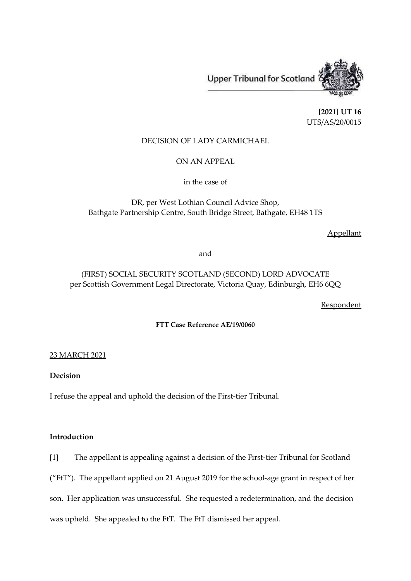Upper Tribunal for Scotland

**[2021] UT 16** UTS/AS/20/0015

## DECISION OF LADY CARMICHAEL

ON AN APPEAL

in the case of

DR, per West Lothian Council Advice Shop, Bathgate Partnership Centre, South Bridge Street, Bathgate, EH48 1TS

Appellant

and

# (FIRST) SOCIAL SECURITY SCOTLAND (SECOND) LORD ADVOCATE per Scottish Government Legal Directorate, Victoria Quay, Edinburgh, EH6 6QQ

Respondent

**FTT Case Reference AE/19/0060**

## 23 MARCH 2021

## **Decision**

I refuse the appeal and uphold the decision of the First-tier Tribunal.

## **Introduction**

[1] The appellant is appealing against a decision of the First-tier Tribunal for Scotland

("FtT"). The appellant applied on 21 August 2019 for the school-age grant in respect of her

son. Her application was unsuccessful. She requested a redetermination, and the decision

was upheld. She appealed to the FtT. The FtT dismissed her appeal.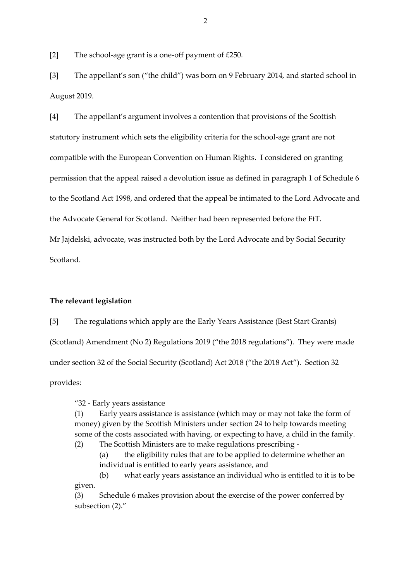[2] The school-age grant is a one-off payment of £250.

[3] The appellant's son ("the child") was born on 9 February 2014, and started school in August 2019.

[4] The appellant's argument involves a contention that provisions of the Scottish statutory instrument which sets the eligibility criteria for the school-age grant are not compatible with the European Convention on Human Rights. I considered on granting permission that the appeal raised a devolution issue as defined in paragraph 1 of Schedule 6 to the Scotland Act 1998, and ordered that the appeal be intimated to the Lord Advocate and the Advocate General for Scotland. Neither had been represented before the FtT. Mr Jajdelski, advocate, was instructed both by the Lord Advocate and by Social Security Scotland.

### **The relevant legislation**

[5] The regulations which apply are the Early Years Assistance (Best Start Grants) (Scotland) Amendment (No 2) Regulations 2019 ("the 2018 regulations"). They were made under section 32 of the Social Security (Scotland) Act 2018 ("the 2018 Act"). Section 32 provides:

"32 - Early years assistance

(1) Early years assistance is assistance (which may or may not take the form of money) given by the Scottish Ministers under section 24 to help towards meeting some of the costs associated with having, or expecting to have, a child in the family. (2) The Scottish Ministers are to make regulations prescribing -

(a) the eligibility rules that are to be applied to determine whether an individual is entitled to early years assistance, and

(b) what early years assistance an individual who is entitled to it is to be given.

(3) Schedule 6 makes provision about the exercise of the power conferred by subsection (2)."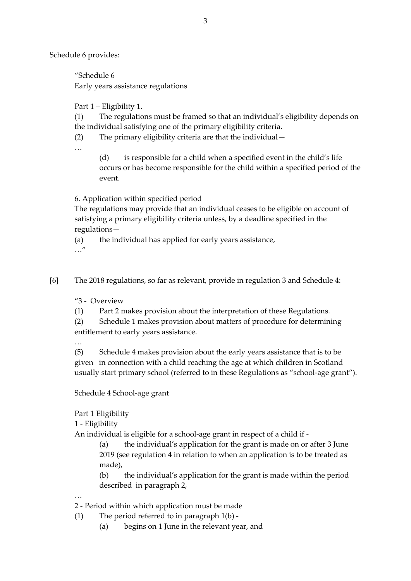Schedule 6 provides:

"Schedule 6 Early years assistance regulations

Part 1 – Eligibility 1.

(1) The regulations must be framed so that an individual's eligibility depends on the individual satisfying one of the primary eligibility criteria.

(2) The primary eligibility criteria are that the individual—

…

(d) is responsible for a child when a specified event in the child's life occurs or has become responsible for the child within a specified period of the event.

6. Application within specified period

The regulations may provide that an individual ceases to be eligible on account of satisfying a primary eligibility criteria unless, by a deadline specified in the regulations—

(a) the individual has applied for early years assistance, …"

[6] The 2018 regulations, so far as relevant, provide in regulation 3 and Schedule 4:

"3 - Overview

(1) Part 2 makes provision about the interpretation of these Regulations.

(2) Schedule 1 makes provision about matters of procedure for determining entitlement to early years assistance.

…

(5) Schedule 4 makes provision about the early years assistance that is to be given in connection with a child reaching the age at which children in Scotland usually start primary school (referred to in these Regulations as "school-age grant").

Schedule 4 School-age grant

Part 1 Eligibility

1 - Eligibility

An individual is eligible for a school-age grant in respect of a child if -

(a) the individual's application for the grant is made on or after 3 June 2019 (see regulation 4 in relation to when an application is to be treated as made),

(b) the individual's application for the grant is made within the period described in paragraph 2,

…

2 - Period within which application must be made

- (1) The period referred to in paragraph 1(b)
	- (a) begins on 1 June in the relevant year, and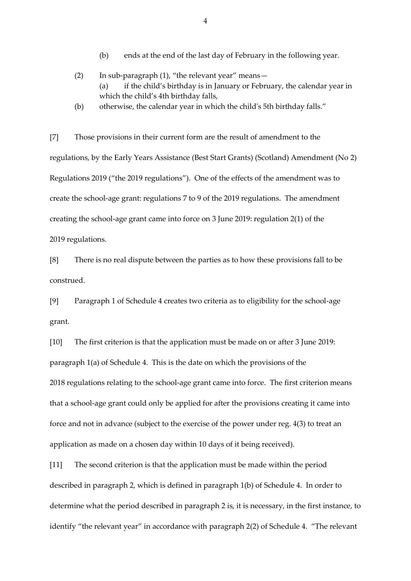- (b) ends at the end of the last day of February in the following year.
- (2) In sub-paragraph (1), "the relevant year" means— (a) if the child's birthday is in January or February, the calendar year in which the child's 4th birthday falls,
- (b) otherwise, the calendar year in which the child's 5th birthday falls."

[7] Those provisions in their current form are the result of amendment to the regulations, by the Early Years Assistance (Best Start Grants) (Scotland) Amendment (No 2) Regulations 2019 ("the 2019 regulations"). One of the effects of the amendment was to create the school-age grant: regulations 7 to 9 of the 2019 regulations. The amendment creating the school-age grant came into force on 3 June 2019: regulation 2(1) of the 2019 regulations.

[8] There is no real dispute between the parties as to how these provisions fall to be construed.

[9] Paragraph 1 of Schedule 4 creates two criteria as to eligibility for the school-age grant.

[10] The first criterion is that the application must be made on or after 3 June 2019: paragraph 1(a) of Schedule 4. This is the date on which the provisions of the 2018 regulations relating to the school-age grant came into force. The first criterion means that a school-age grant could only be applied for after the provisions creating it came into force and not in advance (subject to the exercise of the power under reg. 4(3) to treat an application as made on a chosen day within 10 days of it being received).

[11] The second criterion is that the application must be made within the period described in paragraph 2, which is defined in paragraph 1(b) of Schedule 4. In order to determine what the period described in paragraph 2 is, it is necessary, in the first instance, to identify "the relevant year" in accordance with paragraph 2(2) of Schedule 4. "The relevant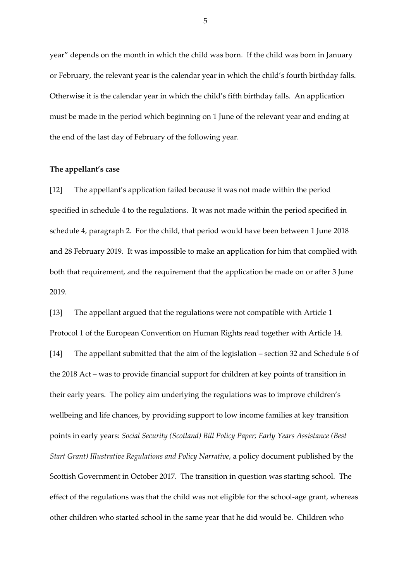year" depends on the month in which the child was born. If the child was born in January or February, the relevant year is the calendar year in which the child's fourth birthday falls. Otherwise it is the calendar year in which the child's fifth birthday falls. An application must be made in the period which beginning on 1 June of the relevant year and ending at the end of the last day of February of the following year.

## **The appellant's case**

[12] The appellant's application failed because it was not made within the period specified in schedule 4 to the regulations. It was not made within the period specified in schedule 4, paragraph 2. For the child, that period would have been between 1 June 2018 and 28 February 2019. It was impossible to make an application for him that complied with both that requirement, and the requirement that the application be made on or after 3 June 2019.

[13] The appellant argued that the regulations were not compatible with Article 1 Protocol 1 of the European Convention on Human Rights read together with Article 14. [14] The appellant submitted that the aim of the legislation – section 32 and Schedule 6 of the 2018 Act – was to provide financial support for children at key points of transition in their early years. The policy aim underlying the regulations was to improve children's wellbeing and life chances, by providing support to low income families at key transition points in early years: *Social Security (Scotland) Bill Policy Paper; Early Years Assistance (Best Start Grant) Illustrative Regulations and Policy Narrative*, a policy document published by the Scottish Government in October 2017. The transition in question was starting school. The effect of the regulations was that the child was not eligible for the school-age grant, whereas other children who started school in the same year that he did would be. Children who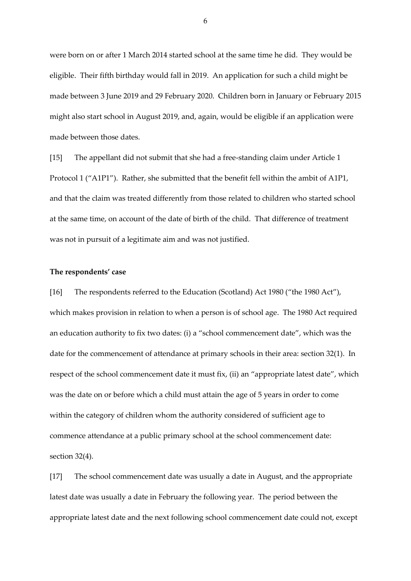were born on or after 1 March 2014 started school at the same time he did. They would be eligible. Their fifth birthday would fall in 2019. An application for such a child might be made between 3 June 2019 and 29 February 2020. Children born in January or February 2015 might also start school in August 2019, and, again, would be eligible if an application were made between those dates.

[15] The appellant did not submit that she had a free-standing claim under Article 1 Protocol 1 ("A1P1"). Rather, she submitted that the benefit fell within the ambit of A1P1, and that the claim was treated differently from those related to children who started school at the same time, on account of the date of birth of the child. That difference of treatment was not in pursuit of a legitimate aim and was not justified.

#### **The respondents' case**

[16] The respondents referred to the Education (Scotland) Act 1980 ("the 1980 Act"), which makes provision in relation to when a person is of school age. The 1980 Act required an education authority to fix two dates: (i) a "school commencement date", which was the date for the commencement of attendance at primary schools in their area: section 32(1). In respect of the school commencement date it must fix, (ii) an "appropriate latest date", which was the date on or before which a child must attain the age of 5 years in order to come within the category of children whom the authority considered of sufficient age to commence attendance at a public primary school at the school commencement date: section 32(4).

[17] The school commencement date was usually a date in August, and the appropriate latest date was usually a date in February the following year. The period between the appropriate latest date and the next following school commencement date could not, except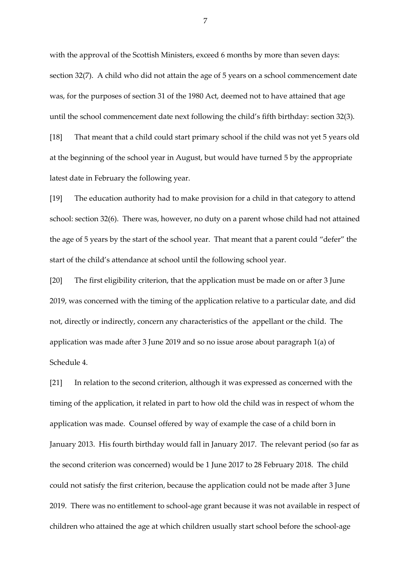with the approval of the Scottish Ministers, exceed 6 months by more than seven days: section 32(7). A child who did not attain the age of 5 years on a school commencement date was, for the purposes of section 31 of the 1980 Act, deemed not to have attained that age until the school commencement date next following the child's fifth birthday: section 32(3). [18] That meant that a child could start primary school if the child was not yet 5 years old at the beginning of the school year in August, but would have turned 5 by the appropriate

latest date in February the following year.

[19] The education authority had to make provision for a child in that category to attend school: section 32(6). There was, however, no duty on a parent whose child had not attained the age of 5 years by the start of the school year. That meant that a parent could "defer" the start of the child's attendance at school until the following school year.

[20] The first eligibility criterion, that the application must be made on or after 3 June 2019, was concerned with the timing of the application relative to a particular date, and did not, directly or indirectly, concern any characteristics of the appellant or the child. The application was made after 3 June 2019 and so no issue arose about paragraph 1(a) of Schedule 4.

[21] In relation to the second criterion, although it was expressed as concerned with the timing of the application, it related in part to how old the child was in respect of whom the application was made. Counsel offered by way of example the case of a child born in January 2013. His fourth birthday would fall in January 2017. The relevant period (so far as the second criterion was concerned) would be 1 June 2017 to 28 February 2018. The child could not satisfy the first criterion, because the application could not be made after 3 June 2019. There was no entitlement to school-age grant because it was not available in respect of children who attained the age at which children usually start school before the school-age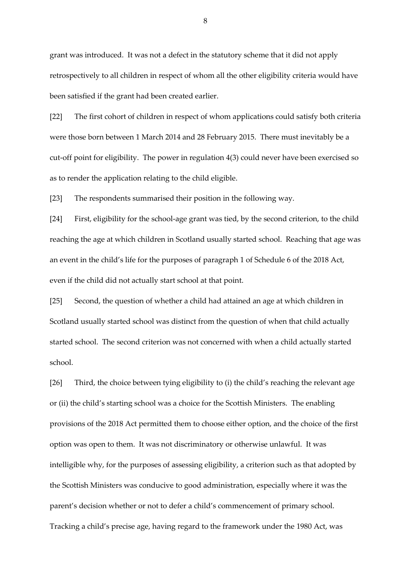grant was introduced. It was not a defect in the statutory scheme that it did not apply retrospectively to all children in respect of whom all the other eligibility criteria would have been satisfied if the grant had been created earlier.

[22] The first cohort of children in respect of whom applications could satisfy both criteria were those born between 1 March 2014 and 28 February 2015. There must inevitably be a cut-off point for eligibility. The power in regulation 4(3) could never have been exercised so as to render the application relating to the child eligible.

[23] The respondents summarised their position in the following way.

[24] First, eligibility for the school-age grant was tied, by the second criterion, to the child reaching the age at which children in Scotland usually started school. Reaching that age was an event in the child's life for the purposes of paragraph 1 of Schedule 6 of the 2018 Act, even if the child did not actually start school at that point.

[25] Second, the question of whether a child had attained an age at which children in Scotland usually started school was distinct from the question of when that child actually started school. The second criterion was not concerned with when a child actually started school.

[26] Third, the choice between tying eligibility to (i) the child's reaching the relevant age or (ii) the child's starting school was a choice for the Scottish Ministers. The enabling provisions of the 2018 Act permitted them to choose either option, and the choice of the first option was open to them. It was not discriminatory or otherwise unlawful. It was intelligible why, for the purposes of assessing eligibility, a criterion such as that adopted by the Scottish Ministers was conducive to good administration, especially where it was the parent's decision whether or not to defer a child's commencement of primary school. Tracking a child's precise age, having regard to the framework under the 1980 Act, was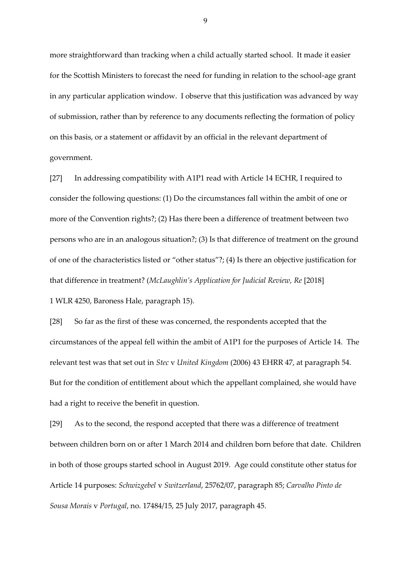more straightforward than tracking when a child actually started school. It made it easier for the Scottish Ministers to forecast the need for funding in relation to the school-age grant in any particular application window. I observe that this justification was advanced by way of submission, rather than by reference to any documents reflecting the formation of policy on this basis, or a statement or affidavit by an official in the relevant department of government.

[27] In addressing compatibility with A1P1 read with Article 14 ECHR, I required to consider the following questions: (1) Do the circumstances fall within the ambit of one or more of the Convention rights?; (2) Has there been a difference of treatment between two persons who are in an analogous situation?; (3) Is that difference of treatment on the ground of one of the characteristics listed or "other status"?; (4) Is there an objective justification for that difference in treatment? (*McLaughlin's Application for Judicial Review, Re* [2018]

1 WLR 4250, Baroness Hale, paragraph 15).

[28] So far as the first of these was concerned, the respondents accepted that the circumstances of the appeal fell within the ambit of A1P1 for the purposes of Article 14. The relevant test was that set out in *Stec* v *United Kingdom* (2006) 43 EHRR 47, at paragraph 54. But for the condition of entitlement about which the appellant complained, she would have had a right to receive the benefit in question.

[29] As to the second, the respond accepted that there was a difference of treatment between children born on or after 1 March 2014 and children born before that date. Children in both of those groups started school in August 2019. Age could constitute other status for Article 14 purposes: *Schwizgebel* v *Switzerland*, 25762/07, paragraph 85; *Carvalho Pinto de Sousa Morais* v *Portugal*, no. 17484/15, 25 July 2017, paragraph 45.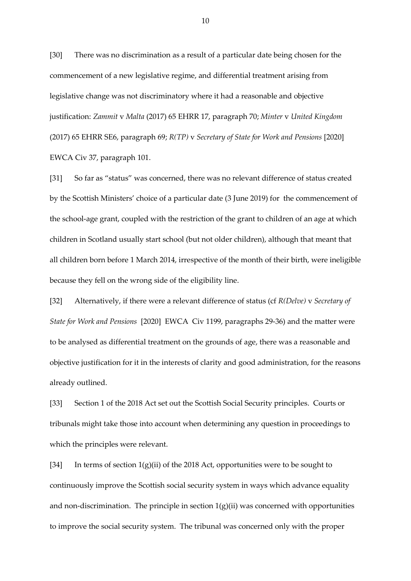[30] There was no discrimination as a result of a particular date being chosen for the commencement of a new legislative regime, and differential treatment arising from legislative change was not discriminatory where it had a reasonable and objective justification: *Zammit* v *Malta* (2017) 65 EHRR 17, paragraph 70; *Minter* v *United Kingdom* (2017) 65 EHRR SE6, paragraph 69; *R(TP)* v *Secretary of State for Work and Pensions* [2020] EWCA Civ 37, paragraph 101.

[31] So far as "status" was concerned, there was no relevant difference of status created by the Scottish Ministers' choice of a particular date (3 June 2019) for the commencement of the school-age grant, coupled with the restriction of the grant to children of an age at which children in Scotland usually start school (but not older children), although that meant that all children born before 1 March 2014, irrespective of the month of their birth, were ineligible because they fell on the wrong side of the eligibility line.

[32] Alternatively, if there were a relevant difference of status (cf *R(Delve)* v *Secretary of State for Work and Pensions* [2020] EWCA Civ 1199, paragraphs 29-36) and the matter were to be analysed as differential treatment on the grounds of age, there was a reasonable and objective justification for it in the interests of clarity and good administration, for the reasons already outlined.

[33] Section 1 of the 2018 Act set out the Scottish Social Security principles. Courts or tribunals might take those into account when determining any question in proceedings to which the principles were relevant.

[34] In terms of section  $1(g)(ii)$  of the 2018 Act, opportunities were to be sought to continuously improve the Scottish social security system in ways which advance equality and non-discrimination. The principle in section  $1(g)(ii)$  was concerned with opportunities to improve the social security system. The tribunal was concerned only with the proper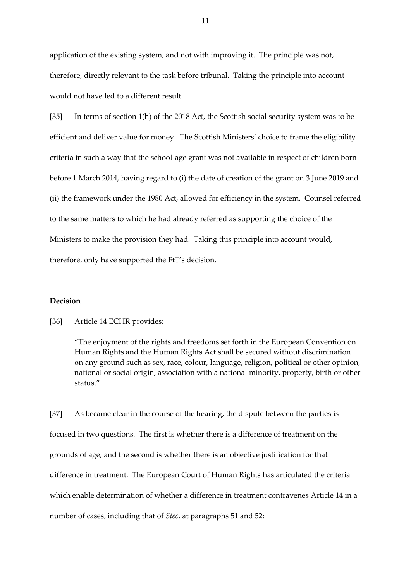application of the existing system, and not with improving it. The principle was not, therefore, directly relevant to the task before tribunal. Taking the principle into account would not have led to a different result.

[35] In terms of section 1(h) of the 2018 Act, the Scottish social security system was to be efficient and deliver value for money. The Scottish Ministers' choice to frame the eligibility criteria in such a way that the school-age grant was not available in respect of children born before 1 March 2014, having regard to (i) the date of creation of the grant on 3 June 2019 and (ii) the framework under the 1980 Act, allowed for efficiency in the system. Counsel referred to the same matters to which he had already referred as supporting the choice of the Ministers to make the provision they had. Taking this principle into account would, therefore, only have supported the FtT's decision.

## **Decision**

#### [36] Article 14 ECHR provides:

"The enjoyment of the rights and freedoms set forth in the European Convention on Human Rights and the Human Rights Act shall be secured without discrimination on any ground such as sex, race, colour, language, religion, political or other opinion, national or social origin, association with a national minority, property, birth or other status."

[37] As became clear in the course of the hearing, the dispute between the parties is focused in two questions. The first is whether there is a difference of treatment on the grounds of age, and the second is whether there is an objective justification for that difference in treatment. The European Court of Human Rights has articulated the criteria which enable determination of whether a difference in treatment contravenes Article 14 in a number of cases, including that of *Stec*, at paragraphs 51 and 52: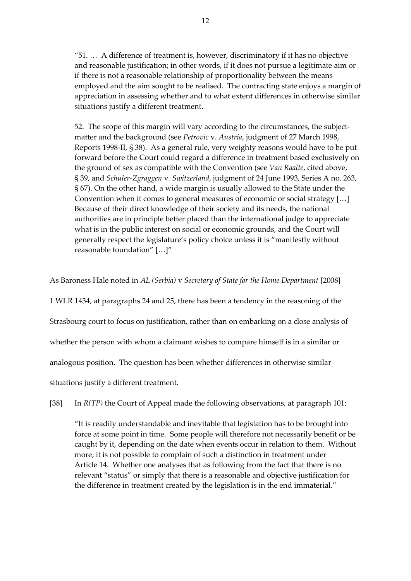"51. … A difference of treatment is, however, discriminatory if it has no objective and reasonable justification; in other words, if it does not pursue a legitimate aim or if there is not a reasonable relationship of proportionality between the means employed and the aim sought to be realised. The contracting state enjoys a margin of appreciation in assessing whether and to what extent differences in otherwise similar situations justify a different treatment.

52. The scope of this margin will vary according to the circumstances, the subjectmatter and the background (see *Petrovic* v*. Austria*, judgment of 27 March 1998, Reports 1998-II, § 38). As a general rule, very weighty reasons would have to be put forward before the Court could regard a difference in treatment based exclusively on the ground of sex as compatible with the Convention (see *Van Raalte*, cited above, § 39, and *Schuler-Zgraggen* v*. Switzerland*, judgment of 24 June 1993, Series A no. 263, § 67). On the other hand, a wide margin is usually allowed to the State under the Convention when it comes to general measures of economic or social strategy […] Because of their direct knowledge of their society and its needs, the national authorities are in principle better placed than the international judge to appreciate what is in the public interest on social or economic grounds, and the Court will generally respect the legislature's policy choice unless it is "manifestly without reasonable foundation" […]"

As Baroness Hale noted in *AL (Serbia)* v *Secretary of State for the Home Department* [2008]

1 WLR 1434, at paragraphs 24 and 25, there has been a tendency in the reasoning of the Strasbourg court to focus on justification, rather than on embarking on a close analysis of whether the person with whom a claimant wishes to compare himself is in a similar or analogous position. The question has been whether differences in otherwise similar situations justify a different treatment.

[38] In *R(TP)* the Court of Appeal made the following observations, at paragraph 101:

"It is readily understandable and inevitable that legislation has to be brought into force at some point in time. Some people will therefore not necessarily benefit or be caught by it, depending on the date when events occur in relation to them. Without more, it is not possible to complain of such a distinction in treatment under Article 14. Whether one analyses that as following from the fact that there is no relevant "status" or simply that there is a reasonable and objective justification for the difference in treatment created by the legislation is in the end immaterial."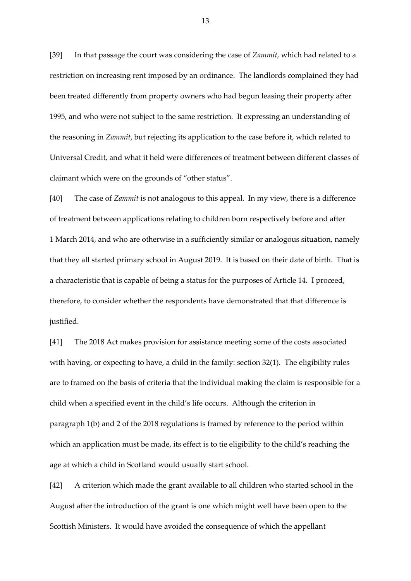[39] In that passage the court was considering the case of *Zammit*, which had related to a restriction on increasing rent imposed by an ordinance. The landlords complained they had been treated differently from property owners who had begun leasing their property after 1995, and who were not subject to the same restriction. It expressing an understanding of the reasoning in *Zammit*, but rejecting its application to the case before it, which related to Universal Credit, and what it held were differences of treatment between different classes of claimant which were on the grounds of "other status".

[40] The case of *Zammit* is not analogous to this appeal. In my view, there is a difference of treatment between applications relating to children born respectively before and after 1 March 2014, and who are otherwise in a sufficiently similar or analogous situation, namely that they all started primary school in August 2019. It is based on their date of birth. That is a characteristic that is capable of being a status for the purposes of Article 14. I proceed, therefore, to consider whether the respondents have demonstrated that that difference is justified.

[41] The 2018 Act makes provision for assistance meeting some of the costs associated with having, or expecting to have, a child in the family: section 32(1). The eligibility rules are to framed on the basis of criteria that the individual making the claim is responsible for a child when a specified event in the child's life occurs. Although the criterion in paragraph 1(b) and 2 of the 2018 regulations is framed by reference to the period within which an application must be made, its effect is to tie eligibility to the child's reaching the age at which a child in Scotland would usually start school.

[42] A criterion which made the grant available to all children who started school in the August after the introduction of the grant is one which might well have been open to the Scottish Ministers. It would have avoided the consequence of which the appellant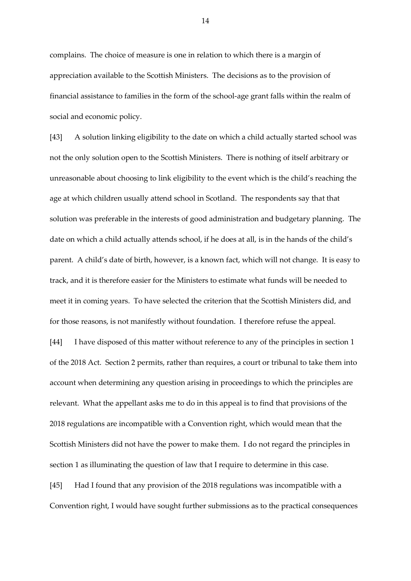complains. The choice of measure is one in relation to which there is a margin of appreciation available to the Scottish Ministers. The decisions as to the provision of financial assistance to families in the form of the school-age grant falls within the realm of social and economic policy.

[43] A solution linking eligibility to the date on which a child actually started school was not the only solution open to the Scottish Ministers. There is nothing of itself arbitrary or unreasonable about choosing to link eligibility to the event which is the child's reaching the age at which children usually attend school in Scotland. The respondents say that that solution was preferable in the interests of good administration and budgetary planning. The date on which a child actually attends school, if he does at all, is in the hands of the child's parent. A child's date of birth, however, is a known fact, which will not change. It is easy to track, and it is therefore easier for the Ministers to estimate what funds will be needed to meet it in coming years. To have selected the criterion that the Scottish Ministers did, and for those reasons, is not manifestly without foundation. I therefore refuse the appeal.

[44] I have disposed of this matter without reference to any of the principles in section 1 of the 2018 Act. Section 2 permits, rather than requires, a court or tribunal to take them into account when determining any question arising in proceedings to which the principles are relevant. What the appellant asks me to do in this appeal is to find that provisions of the 2018 regulations are incompatible with a Convention right, which would mean that the Scottish Ministers did not have the power to make them. I do not regard the principles in section 1 as illuminating the question of law that I require to determine in this case.

[45] Had I found that any provision of the 2018 regulations was incompatible with a Convention right, I would have sought further submissions as to the practical consequences